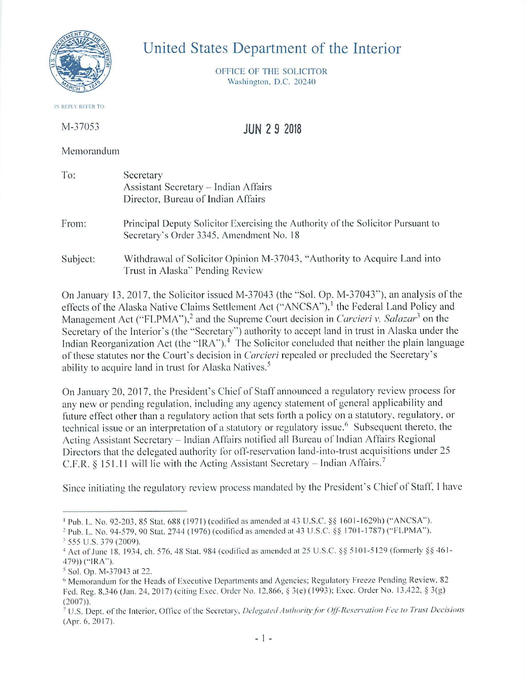

## United States Department of the Interior

OFFICE OF THE SOLICITOR Washington. D.C. 20240

JUN 2 9 2018

**IN REPLY REFER TO** 

M-37053

Memorandum

| To:      | Secretary<br>Assistant Secretary - Indian Affairs<br>Director, Bureau of Indian Affairs                                      |
|----------|------------------------------------------------------------------------------------------------------------------------------|
| From:    | Principal Deputy Solicitor Exercising the Authority of the Solicitor Pursuant to<br>Secretary's Order 3345, Amendment No. 18 |
| Subject: | Withdrawal of Solicitor Opinion M-37043, "Authority to Acquire Land into<br>Trust in Alaska" Pending Review                  |

On January 13, 2017, the Solicitor issued M-37043 (the "Sol. Op. M-37043"), an analysis of the effects of the Alaska Native Claims Settlement Act ("ANCSA"),<sup>1</sup> the Federal Land Policy and Management Act ("FLPMA"),<sup>2</sup> and the Supreme Court decision in *Carcieri v. Salazar*<sup>3</sup> on the Secretary of the Interior's (the "Secretary") authority to accept land in trust in Alaska under the Indian Reorganization Act (the "IRA").<sup>4</sup> The Solicitor concluded that neither the plain language of these statutes nor the Court's decision in *Carcieri* repealed or precluded the Secretary's ability to acquire land in trust for Alaska Natives.<sup>5</sup>

On January 20, 2017, the President's Chief of Staff announced a regulatory review process for any new or pending regulation, including any agency statement of general applicability and future effect other than a regulatory action that sets forth a policy on a statutory, regulatory, or technical issue or an interpretation of a statutory or regulatory issue.<sup>6</sup> Subsequent thereto, the Acting Assistant Secretary - Indian Affairs notified all Bureau of Indian Affairs Regional Directors that the delegated authority for off-reservation land-into-trust acquisitions under 25 C.F.R. § 151.11 will lie with the Acting Assistant Secretary – Indian Affairs.<sup>7</sup>

Since initiating the regulatory review process mandated by the President's Chief of Staff. I have

<sup>&</sup>lt;sup>1</sup> Pub. L. No. 92-203, 85 Stat. 688 (1971) (codified as amended at 43 U.S.C. §§ 1601-1629h) ("ANCSA").

<sup>&</sup>lt;sup>2</sup> Pub. L. No. 94-579, 90 Stat. 2744 (1976) (codified as amended at 43 U.S.C. §§ 1701-1787) ("FLPMA"). <sup>3</sup> 555 U.S. 379 (2009).

<sup>&</sup>lt;sup>4</sup> Act of June 18, 1934, ch. 576, 48 Stat. 984 (codified as amended at 25 U.S.C. §§ 5101-5129 (formerly §§ 461-479)) ("IRA").

<sup>&</sup>lt;sup>5</sup> Sol. Op. M-37043 at 22.

<sup>&</sup>lt;sup>6</sup> Memorandum for the Heads of Executive Departments and Agencies; Regulatory Freeze Pending Review, 82 Fed. Reg. 8.346 (Jan. 24.2017) (citing Exec. Order No. 12.866. § 3(e) ( 1993): Exec. Order No. 13.422. § 3(g) (2007)).

<sup>&</sup>lt;sup>7</sup> U.S. Dept. of the Interior, Office of the Secretary, *Delegated Authority for Off-Reservation Fee to Trust Decisions*  $(Apr. 6, 2017).$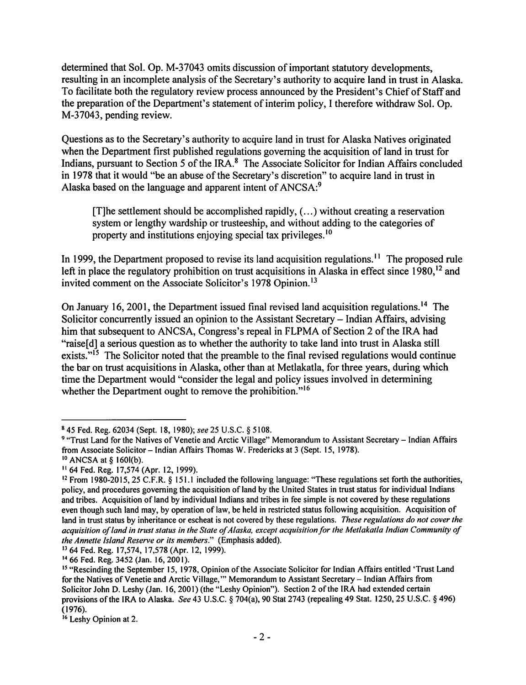determined that Sol. Op. M-37043 omits discussion of important statutory developments, resulting in an incomplete analysis of the Secretary's authority to acquire land in trust in Alaska. To facilitate both the regulatory review process announced by the President's Chief of Staff and the preparation of the Department's statement of interim policy, I therefore withdraw Sol. Op. M-37043, pending review.

Questions as to the Secretary's authority to acquire land in trust for Alaska Natives originated when the Department first published regulations governing the acquisition of land in trust for Indians, pursuant to Section 5 of the IRA.<sup>8</sup> The Associate Solicitor for Indian Affairs concluded in 1978 that it would "be an abuse of the Secretary's discretion" to acquire land in trust in Alaska based on the language and apparent intent of ANCSA:<sup>9</sup>

[T]he settlement should be accomplished rapidly,  $(...)$  without creating a reservation system or lengthy wardship or trusteeship, and without adding to the categories of property and institutions enjoying special tax privileges. <sup>10</sup>

In 1999, the Department proposed to revise its land acquisition regulations.<sup> $11$ </sup> The proposed rule left in place the regulatory prohibition on trust acquisitions in Alaska in effect since  $1980$ ,  $^{12}$  and invited comment on the Associate Solicitor's 1978 Opinion.<sup>13</sup>

On January 16, 2001, the Department issued final revised land acquisition regulations.<sup>14</sup> The Solicitor concurrently issued an opinion to the Assistant Secretary – Indian Affairs, advising him that subsequent to ANCSA, Congress's repeal in FLPMA of Section 2 of the IRA had "raise<sup>[d]</sup> a serious question as to whether the authority to take land into trust in Alaska still exists."<sup>15</sup> The Solicitor noted that the preamble to the final revised regulations would continue the bar on trust acquisitions in Alaska, other than at Metlakatla, for three years, during which time the Department would "consider the legal and policy issues involved in determining whether the Department ought to remove the prohibition."<sup>16</sup>

13 64 Fed. Reg. 17,574, 17,578 (Apr. 12, 1999).

<sup>8</sup> 45 Fed. Reg. 62034 (Sept. 18, 1980); *see* 25 U.S.C. § 5108.

<sup>9 &</sup>quot;Trust Land for the Natives of Venetie and Arctic Village" Memorandum to Assistant Secretary – Indian Affairs from Associate Solicitor - Indian Affairs Thomas W. Fredericks at 3 (Sept. 15, 1978).

<sup>10</sup>ANCSA at§ 160l(b).

<sup>11 64</sup> Fed. Reg. 17,574 (Apr. 12, 1999).

<sup>12</sup> From 1980-2015, 25 C.F.R. § 151.1 included the following language: "These regulations set forth the authorities, policy, and procedures governing the acquisition of land by the United States in trust status for individual Indians and tribes. Acquisition of land by individual Indians and tribes in fee simple is not covered by these regulations even though such land may, by operation of law, be held in restricted status following acquisition. Acquisition of land in trust status by inheritance or escheat is not covered by these regulations. *These regulations do not cover the*  acquisition of land in trust status in the State of Alaska, except acquisition for the Metlakatla Indian Community of *the Annette Island Reserve or its members."* (Emphasis added).

<sup>&</sup>lt;sup>14</sup> 66 Fed. Reg. 3452 (Jan. 16, 2001).

<sup>&</sup>lt;sup>15</sup> "Rescinding the September 15, 1978, Opinion of the Associate Solicitor for Indian Affairs entitled 'Trust Land for the Natives of Venetie and Arctic Village,"" Memorandum to Assistant Secretary - Indian Affairs from Solicitor John D. Leshy (Jan. 16, 2001) (the "Leshy Opinion"). Section 2 of the IRA had extended certain provisions of the IRA to Alaska. *See* 43 U.S.C. § 704(a), 90 Stat 2743 (repealing 49 Stat. 1250, 25 U.S.C. § 496) (1976).

<sup>&</sup>lt;sup>16</sup> Leshy Opinion at 2.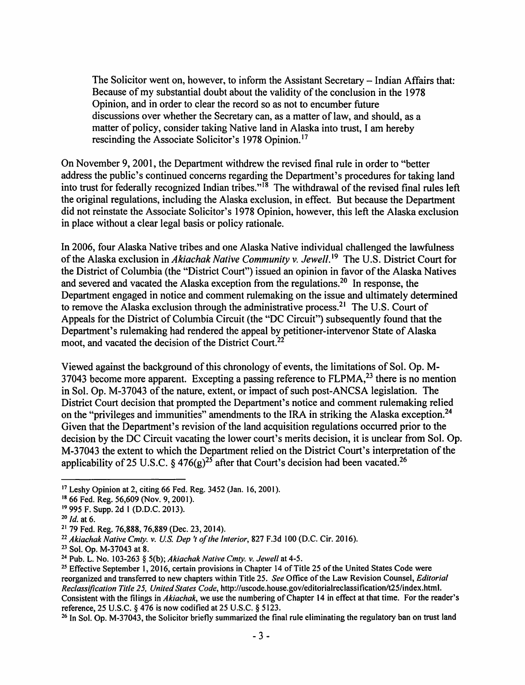The Solicitor went on, however, to inform the Assistant Secretary - Indian Affairs that: Because of my substantial doubt about the validity of the conclusion in the 1978 Opinion, and in order to clear the record so as not to encumber future discussions over whether the Secretary can, as a matter of law, and should, as a matter of policy, consider taking Native land in Alaska into trust, I am hereby rescinding the Associate Solicitor's 1978 Opinion. <sup>17</sup>

On November 9, 2001, the Department withdrew the revised final rule in order to "better address the public's continued concerns regarding the Department's procedures for taking land into trust for federally recognized Indian tribes."<sup>18</sup> The withdrawal of the revised final rules left the original regulations, including the Alaska exclusion, in effect. But because the Department did not reinstate the Associate Solicitor's 1978 Opinion, however, this left the Alaska exclusion in place without a clear legal basis or policy rationale.

In 2006, four Alaska Native tribes and one Alaska Native individual challenged the lawfulness of the Alaska exclusion in *Akiachak Native Community v. Jewell*.<sup>19</sup> The U.S. District Court for the District of Columbia (the "District Court") issued an opinion in favor of the Alaska Natives and severed and vacated the Alaska exception from the regulations.<sup>20</sup> In response, the Department engaged in notice and comment rulemaking on the issue and ultimately determined to remove the Alaska exclusion through the administrative process.<sup>21</sup> The U.S. Court of Appeals for the District of Columbia Circuit (the "DC Circuit") subsequently found that the Department's rulemaking had rendered the appeal by petitioner-intervenor State of Alaska moot, and vacated the decision of the District Court.<sup>22</sup>

Viewed against the background of this chronology of events, the limitations of Sol. Op. M-37043 become more apparent. Excepting a passing reference to  $FLPMA<sup>23</sup>$ , there is no mention in Sol. Op. M-37043 of the nature, extent, or impact of such post-ANCSA legislation. The District Court decision that prompted the Department's notice and comment rulemaking relied on the "privileges and immunities" amendments to the IRA in striking the Alaska exception.<sup>24</sup> Given that the Department's revision of the land acquisition regulations occurred prior to the decision by the DC Circuit vacating the lower court's merits decision, it is unclear from Sol. Op. M-37043 the extent to which the Department relied on the District Court's interpretation of the applicability of 25 U.S.C. § 476(g)<sup>25</sup> after that Court's decision had been vacated.<sup>26</sup>

<sup>26</sup> In Sol. Op. M-37043, the Solicitor briefly summarized the final rule eliminating the regulatory ban on trust land

<sup>&</sup>lt;sup>17</sup> Leshy Opinion at 2, citing 66 Fed. Reg. 3452 (Jan. 16, 2001).<br><sup>18</sup> 66 Fed. Reg. 56,609 (Nov. 9, 2001).

<sup>19</sup>995 F. Supp. 2d 1 (D.D.C. 2013).

<sup>20</sup>*Id.* at 6.

<sup>21</sup>79 Fed. Reg. 76,888, 76,889 (Dec. 23, 2014).

<sup>&</sup>lt;sup>22</sup> Akiachak Native Cmty. v. U.S. Dep 't of the Interior, 827 F.3d 100 (D.C. Cir. 2016).<br><sup>23</sup> Sol. Op. M-37043 at 8.

<sup>&</sup>lt;sup>24</sup> Pub. L. No. 103-263 § 5(b); *Akiachak Native Cmty. v. Jewell* at 4-5.<br><sup>25</sup> Effective September 1, 2016, certain provisions in Chapter 14 of Title 25 of the United States Code were reorganized and transferred to new chapters within Title 25. *See* Office of the Law Revision Counsel, *Editorial Reclassification Title 25, United States Code,* http://uscode.house.gov/editoria1reclassification/t25/index.html. Consistent with the filings in *Akiachak,* we use the numbering of Chapter 14 in effect at that time. For the reader's reference, 25 U.S.C. § 476 is now codified at 25 U.S.C. § 5123.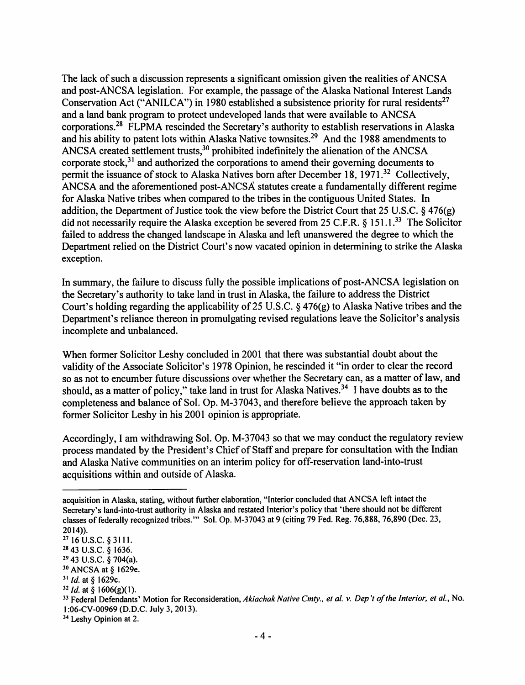The lack of such a discussion represents a significant omission given the realities of ANCSA and post-ANCSA legislation. For example, the passage of the Alaska National Interest Lands Conservation Act ("ANILCA") in 1980 established a subsistence priority for rural residents<sup>27</sup> and a land bank program to protect undeveloped lands that were available to ANCSA corporations.28 FLPMA rescinded the Secretary's authority to establish reservations in Alaska and his ability to patent lots within Alaska Native townsites.<sup>29</sup> And the 1988 amendments to ANCSA created settlement trusts,<sup>30</sup> prohibited indefinitely the alienation of the ANCSA corporate stock, $3<sup>1</sup>$  and authorized the corporations to amend their governing documents to permit the issuance of stock to Alaska Natives born after December 18,  $1971.<sup>32</sup>$  Collectively, ANCSA and the aforementioned post-ANCSA statutes create a fundamentally different regime for Alaska Native tribes when compared to the tribes in the contiguous United States. In addition, the Department of Justice took the view before the District Court that 25 U.S.C. § 476(g) did not necessarily require the Alaska exception be severed from 25 C.F.R. § 151.1.<sup>33</sup> The Solicitor failed to address the changed landscape in Alaska and left unanswered the degree to which the Department relied on the District Court's now vacated opinion in determining to strike the Alaska exception.

In summary, the failure to discuss fully the possible implications of post-ANCSA legislation on the Secretary's authority to take land in trust in Alaska, the failure to address the District Court's holding regarding the applicability of 25 U.S.C. § 476(g) to Alaska Native tribes and the Department's reliance thereon in promulgating revised regulations leave the Solicitor's analysis incomplete and unbalanced.

When former Solicitor Leshy concluded in 2001 that there was substantial doubt about the validity of the Associate Solicitor's 1978 Opinion, he rescinded it "in order to clear the record so as not to encumber future discussions over whether the Secretary can, as a matter of law, and should, as a matter of policy," take land in trust for Alaska Natives.<sup>34</sup> I have doubts as to the completeness and balance of Sol. Op. M-37043, and therefore believe the approach taken by former Solicitor Leshy in his 2001 opinion is appropriate.

Accordingly, I am withdrawing Sol. Op. M-37043 so that we may conduct the regulatory review process mandated by the President's Chief of Staff and prepare for consultation with the Indian and Alaska Native communities on an interim policy for off-reservation land-into-trust acquisitions within and outside of Alaska.

acquisition in Alaska, stating, without further elaboration, "Interior concluded that ANCSA left intact the Secretary's land-into-trust authority in Alaska and restated Interior's policy that 'there should not be different classes of federally recognized tribes."' Sol. Op. M-37043 at 9 (citing 79 Fed. Reg. 76,888, 76,890 (Dec. 23, 2014)).

 $27$  16 U.S.C. § 3111.<br>  $28$  43 U.S.C. § 1636.<br>  $29$  43 U.S.C. § 704(a).

 $30$  ANCSA at § 1629e.

<sup>&</sup>lt;sup>31</sup> *Id.* at § 1629c.<br><sup>32</sup> *Id.* at § 1606(g)(1).

<sup>&</sup>lt;sup>33</sup> Federal Defendants' Motion for Reconsideration, Akiachak Native Cmty., et al. v. Dep't of the Interior, et al., No. 1 :06-CV-00969 (D.D.C. July 3, 2013). 34 Leshy Opinion at 2.